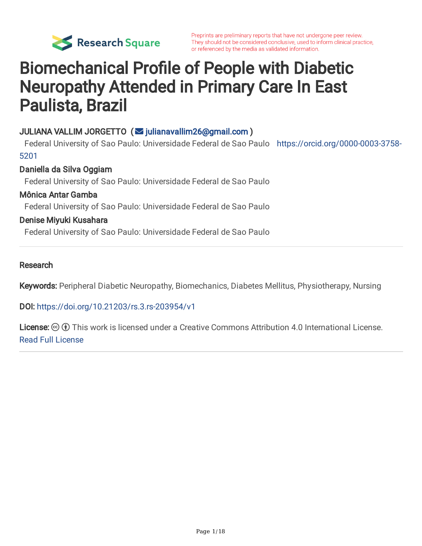

# Biomechanical Profile of People with Diabetic Neuropathy Attended in Primary Care In East Paulista, Brazil

### JULIANA VALLIM JORGETTO (V [julianavallim26@gmail.com](mailto:julianavallim26@gmail.com))

Federal University of Sao Paulo: Universidade Federal de Sao Paulo [https://orcid.org/0000-0003-3758-](https://orcid.org/0000-0003-3758-5201) 5201

#### Daniella da Silva Oggiam

Federal University of Sao Paulo: Universidade Federal de Sao Paulo

#### Mônica Antar Gamba

Federal University of Sao Paulo: Universidade Federal de Sao Paulo

#### Denise Miyuki Kusahara

Federal University of Sao Paulo: Universidade Federal de Sao Paulo

#### Research

Keywords: Peripheral Diabetic Neuropathy, Biomechanics, Diabetes Mellitus, Physiotherapy, Nursing

DOI: <https://doi.org/10.21203/rs.3.rs-203954/v1>

**License:**  $\circledcirc$   $\circledcirc$  This work is licensed under a Creative Commons Attribution 4.0 International License. Read Full [License](https://creativecommons.org/licenses/by/4.0/)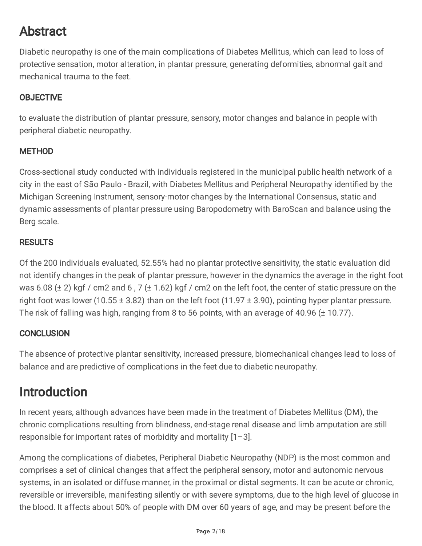## Abstract

Diabetic neuropathy is one of the main complications of Diabetes Mellitus, which can lead to loss of protective sensation, motor alteration, in plantar pressure, generating deformities, abnormal gait and mechanical trauma to the feet.

### **OBJECTIVE**

to evaluate the distribution of plantar pressure, sensory, motor changes and balance in people with peripheral diabetic neuropathy.

### METHOD

Cross-sectional study conducted with individuals registered in the municipal public health network of a city in the east of São Paulo - Brazil, with Diabetes Mellitus and Peripheral Neuropathy identified by the Michigan Screening Instrument, sensory-motor changes by the International Consensus, static and dynamic assessments of plantar pressure using Baropodometry with BaroScan and balance using the Berg scale.

### **RESULTS**

Of the 200 individuals evaluated, 52.55% had no plantar protective sensitivity, the static evaluation did not identify changes in the peak of plantar pressure, however in the dynamics the average in the right foot was 6.08 ( $\pm$  2) kgf / cm2 and 6, 7 ( $\pm$  1.62) kgf / cm2 on the left foot, the center of static pressure on the right foot was lower (10.55  $\pm$  3.82) than on the left foot (11.97  $\pm$  3.90), pointing hyper plantar pressure. The risk of falling was high, ranging from 8 to 56 points, with an average of 40.96 (± 10.77).

### **CONCLUSION**

The absence of protective plantar sensitivity, increased pressure, biomechanical changes lead to loss of balance and are predictive of complications in the feet due to diabetic neuropathy.

### Introduction

In recent years, although advances have been made in the treatment of Diabetes Mellitus (DM), the chronic complications resulting from blindness, end-stage renal disease and limb amputation are still responsible for important rates of morbidity and mortality  $[1-3]$ .

Among the complications of diabetes, Peripheral Diabetic Neuropathy (NDP) is the most common and comprises a set of clinical changes that affect the peripheral sensory, motor and autonomic nervous systems, in an isolated or diffuse manner, in the proximal or distal segments. It can be acute or chronic, reversible or irreversible, manifesting silently or with severe symptoms, due to the high level of glucose in the blood. It affects about 50% of people with DM over 60 years of age, and may be present before the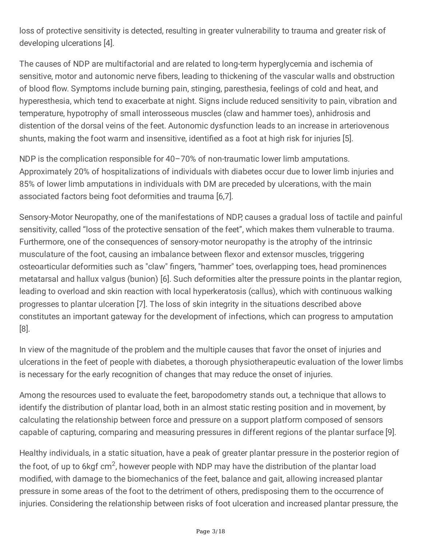loss of protective sensitivity is detected, resulting in greater vulnerability to trauma and greater risk of developing ulcerations [4].

The causes of NDP are multifactorial and are related to long-term hyperglycemia and ischemia of sensitive, motor and autonomic nerve fibers, leading to thickening of the vascular walls and obstruction of blood flow. Symptoms include burning pain, stinging, paresthesia, feelings of cold and heat, and hyperesthesia, which tend to exacerbate at night. Signs include reduced sensitivity to pain, vibration and temperature, hypotrophy of small interosseous muscles (claw and hammer toes), anhidrosis and distention of the dorsal veins of the feet. Autonomic dysfunction leads to an increase in arteriovenous shunts, making the foot warm and insensitive, identified as a foot at high risk for injuries [5].

NDP is the complication responsible for 40-70% of non-traumatic lower limb amputations. Approximately 20% of hospitalizations of individuals with diabetes occur due to lower limb injuries and 85% of lower limb amputations in individuals with DM are preceded by ulcerations, with the main associated factors being foot deformities and trauma [6,7].

Sensory-Motor Neuropathy, one of the manifestations of NDP, causes a gradual loss of tactile and painful sensitivity, called "loss of the protective sensation of the feet", which makes them vulnerable to trauma. Furthermore, one of the consequences of sensory-motor neuropathy is the atrophy of the intrinsic musculature of the foot, causing an imbalance between flexor and extensor muscles, triggering osteoarticular deformities such as "claw" fingers, "hammer" toes, overlapping toes, head prominences metatarsal and hallux valgus (bunion) [6]. Such deformities alter the pressure points in the plantar region, leading to overload and skin reaction with local hyperkeratosis (callus), which with continuous walking progresses to plantar ulceration [7]. The loss of skin integrity in the situations described above constitutes an important gateway for the development of infections, which can progress to amputation [8].

In view of the magnitude of the problem and the multiple causes that favor the onset of injuries and ulcerations in the feet of people with diabetes, a thorough physiotherapeutic evaluation of the lower limbs is necessary for the early recognition of changes that may reduce the onset of injuries.

Among the resources used to evaluate the feet, baropodometry stands out, a technique that allows to identify the distribution of plantar load, both in an almost static resting position and in movement, by calculating the relationship between force and pressure on a support platform composed of sensors capable of capturing, comparing and measuring pressures in different regions of the plantar surface [9].

Healthy individuals, in a static situation, have a peak of greater plantar pressure in the posterior region of the foot, of up to 6kgf cm<sup>2</sup>, however people with NDP may have the distribution of the plantar load modified, with damage to the biomechanics of the feet, balance and gait, allowing increased plantar pressure in some areas of the foot to the detriment of others, predisposing them to the occurrence of injuries. Considering the relationship between risks of foot ulceration and increased plantar pressure, the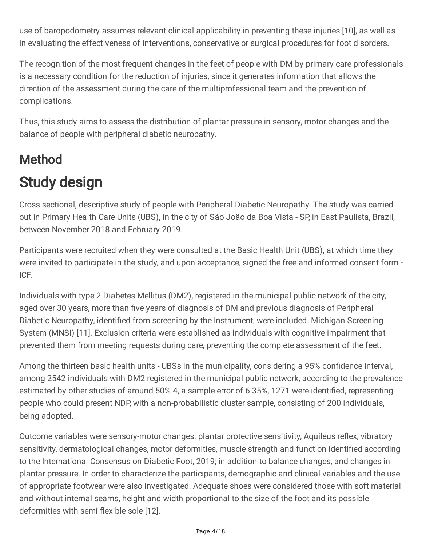use of baropodometry assumes relevant clinical applicability in preventing these injuries [10], as well as in evaluating the effectiveness of interventions, conservative or surgical procedures for foot disorders.

The recognition of the most frequent changes in the feet of people with DM by primary care professionals is a necessary condition for the reduction of injuries, since it generates information that allows the direction of the assessment during the care of the multiprofessional team and the prevention of complications.

Thus, this study aims to assess the distribution of plantar pressure in sensory, motor changes and the balance of people with peripheral diabetic neuropathy.

# Method Study design

Cross-sectional, descriptive study of people with Peripheral Diabetic Neuropathy. The study was carried out in Primary Health Care Units (UBS), in the city of São João da Boa Vista - SP, in East Paulista, Brazil, between November 2018 and February 2019.

Participants were recruited when they were consulted at the Basic Health Unit (UBS), at which time they were invited to participate in the study, and upon acceptance, signed the free and informed consent form - ICF.

Individuals with type 2 Diabetes Mellitus (DM2), registered in the municipal public network of the city, aged over 30 years, more than five years of diagnosis of DM and previous diagnosis of Peripheral Diabetic Neuropathy, identified from screening by the Instrument, were included. Michigan Screening System (MNSI) [11]. Exclusion criteria were established as individuals with cognitive impairment that prevented them from meeting requests during care, preventing the complete assessment of the feet.

Among the thirteen basic health units - UBSs in the municipality, considering a 95% confidence interval, among 2542 individuals with DM2 registered in the municipal public network, according to the prevalence estimated by other studies of around 50% 4, a sample error of 6.35%, 1271 were identified, representing people who could present NDP, with a non-probabilistic cluster sample, consisting of 200 individuals, being adopted.

Outcome variables were sensory-motor changes: plantar protective sensitivity, Aquileus reflex, vibratory sensitivity, dermatological changes, motor deformities, muscle strength and function identified according to the International Consensus on Diabetic Foot, 2019; in addition to balance changes, and changes in plantar pressure. In order to characterize the participants, demographic and clinical variables and the use of appropriate footwear were also investigated. Adequate shoes were considered those with soft material and without internal seams, height and width proportional to the size of the foot and its possible deformities with semi-flexible sole [12].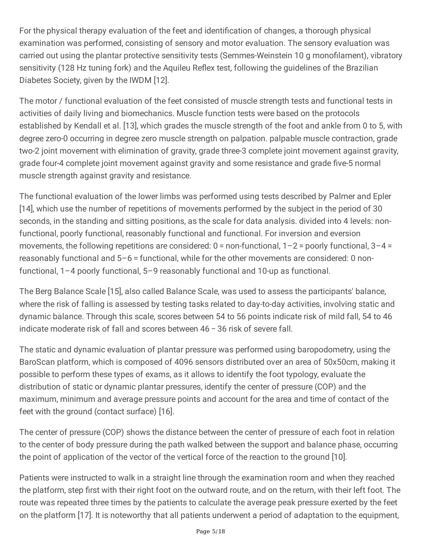For the physical therapy evaluation of the feet and identification of changes, a thorough physical examination was performed, consisting of sensory and motor evaluation. The sensory evaluation was carried out using the plantar protective sensitivity tests (Semmes-Weinstein 10 g monofilament), vibratory sensitivity (128 Hz tuning fork) and the Aquileu Reflex test, following the guidelines of the Brazilian Diabetes Society, given by the IWDM [12].

The motor / functional evaluation of the feet consisted of muscle strength tests and functional tests in activities of daily living and biomechanics. Muscle function tests were based on the protocols established by Kendall et al. [13], which grades the muscle strength of the foot and ankle from 0 to 5, with degree zero-0 occurring in degree zero muscle strength on palpation. palpable muscle contraction, grade two-2 joint movement with elimination of gravity, grade three-3 complete joint movement against gravity, grade four-4 complete joint movement against gravity and some resistance and grade five-5 normal muscle strength against gravity and resistance.

The functional evaluation of the lower limbs was performed using tests described by Palmer and Epler [14], which use the number of repetitions of movements performed by the subject in the period of 30 seconds, in the standing and sitting positions, as the scale for data analysis. divided into 4 levels: nonfunctional, poorly functional, reasonably functional and functional. For inversion and eversion movements, the following repetitions are considered:  $0 =$  non-functional,  $1 - 2 =$  poorly functional,  $3 - 4 =$ reasonably functional and 5–6 = functional, while for the other movements are considered: 0 nonfunctional, 1–4 poorly functional, 5–9 reasonably functional and 10-up as functional.

The Berg Balance Scale [15], also called Balance Scale, was used to assess the participants' balance, where the risk of falling is assessed by testing tasks related to day-to-day activities, involving static and dynamic balance. Through this scale, scores between 54 to 56 points indicate risk of mild fall, 54 to 46 indicate moderate risk of fall and scores between 46 − 36 risk of severe fall.

The static and dynamic evaluation of plantar pressure was performed using baropodometry, using the BaroScan platform, which is composed of 4096 sensors distributed over an area of 50x50cm, making it possible to perform these types of exams, as it allows to identify the foot typology, evaluate the distribution of static or dynamic plantar pressures, identify the center of pressure (COP) and the maximum, minimum and average pressure points and account for the area and time of contact of the feet with the ground (contact surface) [16].

The center of pressure (COP) shows the distance between the center of pressure of each foot in relation to the center of body pressure during the path walked between the support and balance phase, occurring the point of application of the vector of the vertical force of the reaction to the ground [10].

Patients were instructed to walk in a straight line through the examination room and when they reached the platform, step first with their right foot on the outward route, and on the return, with their left foot. The route was repeated three times by the patients to calculate the average peak pressure exerted by the feet on the platform [17]. It is noteworthy that all patients underwent a period of adaptation to the equipment,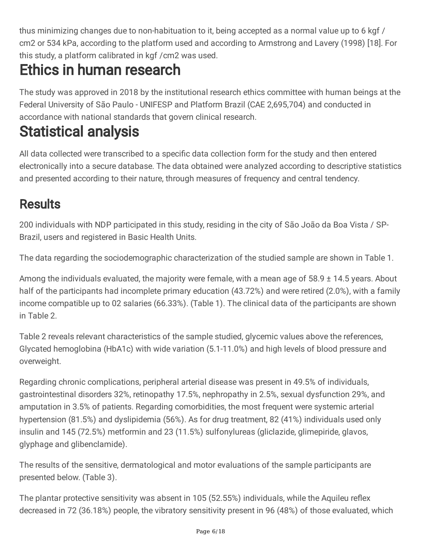thus minimizing changes due to non-habituation to it, being accepted as a normal value up to 6 kgf / cm2 or 534 kPa, according to the platform used and according to Armstrong and Lavery (1998) [18]. For this study, a platform calibrated in kgf /cm2 was used.

# Ethics in human research

The study was approved in 2018 by the institutional research ethics committee with human beings at the Federal University of São Paulo - UNIFESP and Platform Brazil (CAE 2,695,704) and conducted in accordance with national standards that govern clinical research.

# Statistical analysis

All data collected were transcribed to a specific data collection form for the study and then entered electronically into a secure database. The data obtained were analyzed according to descriptive statistics and presented according to their nature, through measures of frequency and central tendency.

### **Results**

200 individuals with NDP participated in this study, residing in the city of São João da Boa Vista / SP-Brazil, users and registered in Basic Health Units.

The data regarding the sociodemographic characterization of the studied sample are shown in Table 1.

Among the individuals evaluated, the majority were female, with a mean age of 58.9 ± 14.5 years. About half of the participants had incomplete primary education (43.72%) and were retired (2.0%), with a family income compatible up to 02 salaries (66.33%). (Table 1). The clinical data of the participants are shown in Table 2.

Table 2 reveals relevant characteristics of the sample studied, glycemic values above the references, Glycated hemoglobina (HbA1c) with wide variation (5.1-11.0%) and high levels of blood pressure and overweight.

Regarding chronic complications, peripheral arterial disease was present in 49.5% of individuals, gastrointestinal disorders 32%, retinopathy 17.5%, nephropathy in 2.5%, sexual dysfunction 29%, and amputation in 3.5% of patients. Regarding comorbidities, the most frequent were systemic arterial hypertension (81.5%) and dyslipidemia (56%). As for drug treatment, 82 (41%) individuals used only insulin and 145 (72.5%) metformin and 23 (11.5%) sulfonylureas (gliclazide, glimepiride, glavos, glyphage and glibenclamide).

The results of the sensitive, dermatological and motor evaluations of the sample participants are presented below. (Table 3).

The plantar protective sensitivity was absent in 105 (52.55%) individuals, while the Aquileu reflex decreased in 72 (36.18%) people, the vibratory sensitivity present in 96 (48%) of those evaluated, which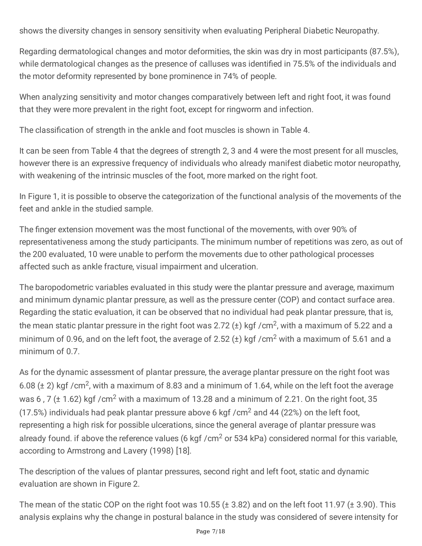shows the diversity changes in sensory sensitivity when evaluating Peripheral Diabetic Neuropathy.

Regarding dermatological changes and motor deformities, the skin was dry in most participants (87.5%), while dermatological changes as the presence of calluses was identified in 75.5% of the individuals and the motor deformity represented by bone prominence in 74% of people.

When analyzing sensitivity and motor changes comparatively between left and right foot, it was found that they were more prevalent in the right foot, except for ringworm and infection.

The classification of strength in the ankle and foot muscles is shown in Table 4.

It can be seen from Table 4 that the degrees of strength 2, 3 and 4 were the most present for all muscles, however there is an expressive frequency of individuals who already manifest diabetic motor neuropathy, with weakening of the intrinsic muscles of the foot, more marked on the right foot.

In Figure 1, it is possible to observe the categorization of the functional analysis of the movements of the feet and ankle in the studied sample.

The finger extension movement was the most functional of the movements, with over 90% of representativeness among the study participants. The minimum number of repetitions was zero, as out of the 200 evaluated, 10 were unable to perform the movements due to other pathological processes affected such as ankle fracture, visual impairment and ulceration.

The baropodometric variables evaluated in this study were the plantar pressure and average, maximum and minimum dynamic plantar pressure, as well as the pressure center (COP) and contact surface area. Regarding the static evaluation, it can be observed that no individual had peak plantar pressure, that is, the mean static plantar pressure in the right foot was 2.72 (±) kgf /cm<sup>2</sup>, with a maximum of 5.22 and a minimum of 0.96, and on the left foot, the average of 2.52  $(\pm)$  kgf /cm<sup>2</sup> with a maximum of 5.61 and a minimum of 0.7.

As for the dynamic assessment of plantar pressure, the average plantar pressure on the right foot was 6.08 ( $\pm$  2) kgf /cm<sup>2</sup>, with a maximum of 8.83 and a minimum of 1.64, while on the left foot the average was 6, 7 ( $\pm$  1.62) kgf /cm<sup>2</sup> with a maximum of 13.28 and a minimum of 2.21. On the right foot, 35 (17.5%) individuals had peak plantar pressure above 6 kgf /  $cm<sup>2</sup>$  and 44 (22%) on the left foot, representing a high risk for possible ulcerations, since the general average of plantar pressure was already found. if above the reference values (6 kgf /cm<sup>2</sup> or 534 kPa) considered normal for this variable, according to Armstrong and Lavery (1998) [18].

The description of the values of plantar pressures, second right and left foot, static and dynamic evaluation are shown in Figure 2.

The mean of the static COP on the right foot was 10.55 ( $\pm$  3.82) and on the left foot 11.97 ( $\pm$  3.90). This analysis explains why the change in postural balance in the study was considered of severe intensity for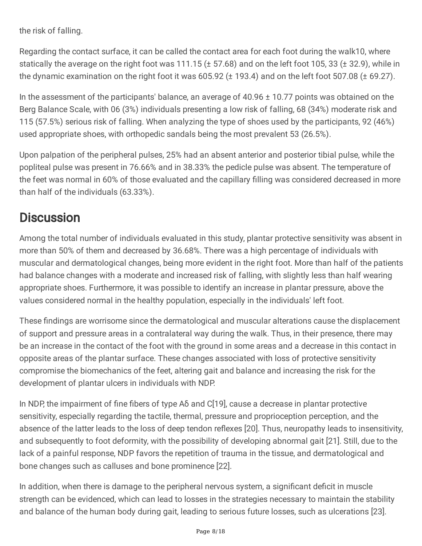the risk of falling.

Regarding the contact surface, it can be called the contact area for each foot during the walk10, where statically the average on the right foot was 111.15 (± 57.68) and on the left foot 105, 33 (± 32.9), while in the dynamic examination on the right foot it was 605.92 (± 193.4) and on the left foot 507.08 (± 69.27).

In the assessment of the participants' balance, an average of 40.96 ± 10.77 points was obtained on the Berg Balance Scale, with 06 (3%) individuals presenting a low risk of falling, 68 (34%) moderate risk and 115 (57.5%) serious risk of falling. When analyzing the type of shoes used by the participants, 92 (46%) used appropriate shoes, with orthopedic sandals being the most prevalent 53 (26.5%).

Upon palpation of the peripheral pulses, 25% had an absent anterior and posterior tibial pulse, while the popliteal pulse was present in 76.66% and in 38.33% the pedicle pulse was absent. The temperature of the feet was normal in 60% of those evaluated and the capillary filling was considered decreased in more than half of the individuals (63.33%).

### **Discussion**

Among the total number of individuals evaluated in this study, plantar protective sensitivity was absent in more than 50% of them and decreased by 36.68%. There was a high percentage of individuals with muscular and dermatological changes, being more evident in the right foot. More than half of the patients had balance changes with a moderate and increased risk of falling, with slightly less than half wearing appropriate shoes. Furthermore, it was possible to identify an increase in plantar pressure, above the values considered normal in the healthy population, especially in the individuals' left foot.

These findings are worrisome since the dermatological and muscular alterations cause the displacement of support and pressure areas in a contralateral way during the walk. Thus, in their presence, there may be an increase in the contact of the foot with the ground in some areas and a decrease in this contact in opposite areas of the plantar surface. These changes associated with loss of protective sensitivity compromise the biomechanics of the feet, altering gait and balance and increasing the risk for the development of plantar ulcers in individuals with NDP.

In NDP, the impairment of fine fibers of type Aδ and C[19], cause a decrease in plantar protective sensitivity, especially regarding the tactile, thermal, pressure and proprioception perception, and the absence of the latter leads to the loss of deep tendon reflexes [20]. Thus, neuropathy leads to insensitivity, and subsequently to foot deformity, with the possibility of developing abnormal gait [21]. Still, due to the lack of a painful response, NDP favors the repetition of trauma in the tissue, and dermatological and bone changes such as calluses and bone prominence [22].

In addition, when there is damage to the peripheral nervous system, a significant deficit in muscle strength can be evidenced, which can lead to losses in the strategies necessary to maintain the stability and balance of the human body during gait, leading to serious future losses, such as ulcerations [23].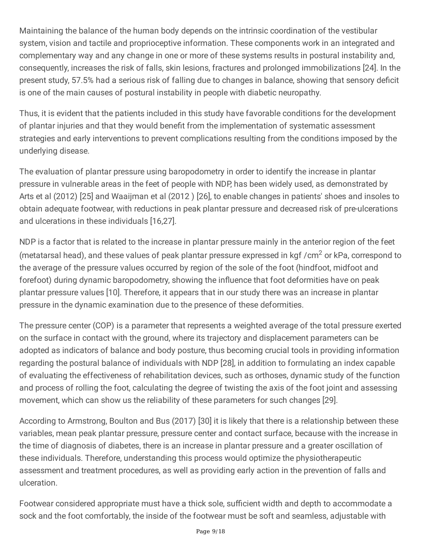Maintaining the balance of the human body depends on the intrinsic coordination of the vestibular system, vision and tactile and proprioceptive information. These components work in an integrated and complementary way and any change in one or more of these systems results in postural instability and, consequently, increases the risk of falls, skin lesions, fractures and prolonged immobilizations [24]. In the present study, 57.5% had a serious risk of falling due to changes in balance, showing that sensory deficit is one of the main causes of postural instability in people with diabetic neuropathy.

Thus, it is evident that the patients included in this study have favorable conditions for the development of plantar injuries and that they would benefit from the implementation of systematic assessment strategies and early interventions to prevent complications resulting from the conditions imposed by the underlying disease.

The evaluation of plantar pressure using baropodometry in order to identify the increase in plantar pressure in vulnerable areas in the feet of people with NDP, has been widely used, as demonstrated by Arts et al (2012) [25] and Waaijman et al (2012 ) [26], to enable changes in patients' shoes and insoles to obtain adequate footwear, with reductions in peak plantar pressure and decreased risk of pre-ulcerations and ulcerations in these individuals [16,27].

NDP is a factor that is related to the increase in plantar pressure mainly in the anterior region of the feet (metatarsal head), and these values of peak plantar pressure expressed in  $\text{kgf / cm}^2$  or kPa, correspond to the average of the pressure values occurred by region of the sole of the foot (hindfoot, midfoot and forefoot) during dynamic baropodometry, showing the influence that foot deformities have on peak plantar pressure values [10]. Therefore, it appears that in our study there was an increase in plantar pressure in the dynamic examination due to the presence of these deformities.

The pressure center (COP) is a parameter that represents a weighted average of the total pressure exerted on the surface in contact with the ground, where its trajectory and displacement parameters can be adopted as indicators of balance and body posture, thus becoming crucial tools in providing information regarding the postural balance of individuals with NDP [28], in addition to formulating an index capable of evaluating the effectiveness of rehabilitation devices, such as orthoses, dynamic study of the function and process of rolling the foot, calculating the degree of twisting the axis of the foot joint and assessing movement, which can show us the reliability of these parameters for such changes [29].

According to Armstrong, Boulton and Bus (2017) [30] it is likely that there is a relationship between these variables, mean peak plantar pressure, pressure center and contact surface, because with the increase in the time of diagnosis of diabetes, there is an increase in plantar pressure and a greater oscillation of these individuals. Therefore, understanding this process would optimize the physiotherapeutic assessment and treatment procedures, as well as providing early action in the prevention of falls and ulceration.

Footwear considered appropriate must have a thick sole, sufficient width and depth to accommodate a sock and the foot comfortably, the inside of the footwear must be soft and seamless, adjustable with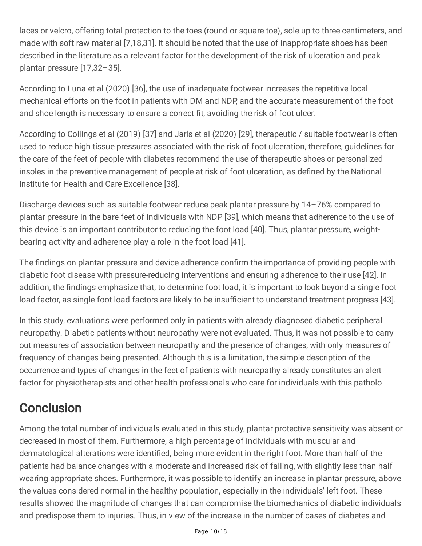laces or velcro, offering total protection to the toes (round or square toe), sole up to three centimeters, and made with soft raw material [7,18,31]. It should be noted that the use of inappropriate shoes has been described in the literature as a relevant factor for the development of the risk of ulceration and peak plantar pressure [17,32–35].

According to Luna et al (2020) [36], the use of inadequate footwear increases the repetitive local mechanical efforts on the foot in patients with DM and NDP, and the accurate measurement of the foot and shoe length is necessary to ensure a correct fit, avoiding the risk of foot ulcer.

According to Collings et al (2019) [37] and Jarls et al (2020) [29], therapeutic / suitable footwear is often used to reduce high tissue pressures associated with the risk of foot ulceration, therefore, guidelines for the care of the feet of people with diabetes recommend the use of therapeutic shoes or personalized insoles in the preventive management of people at risk of foot ulceration, as defined by the National Institute for Health and Care Excellence [38].

Discharge devices such as suitable footwear reduce peak plantar pressure by 14–76% compared to plantar pressure in the bare feet of individuals with NDP [39], which means that adherence to the use of this device is an important contributor to reducing the foot load [40]. Thus, plantar pressure, weightbearing activity and adherence play a role in the foot load [41].

The findings on plantar pressure and device adherence confirm the importance of providing people with diabetic foot disease with pressure-reducing interventions and ensuring adherence to their use [42]. In addition, the findings emphasize that, to determine foot load, it is important to look beyond a single foot load factor, as single foot load factors are likely to be insufficient to understand treatment progress [43].

In this study, evaluations were performed only in patients with already diagnosed diabetic peripheral neuropathy. Diabetic patients without neuropathy were not evaluated. Thus, it was not possible to carry out measures of association between neuropathy and the presence of changes, with only measures of frequency of changes being presented. Although this is a limitation, the simple description of the occurrence and types of changes in the feet of patients with neuropathy already constitutes an alert factor for physiotherapists and other health professionals who care for individuals with this patholo

## **Conclusion**

Among the total number of individuals evaluated in this study, plantar protective sensitivity was absent or decreased in most of them. Furthermore, a high percentage of individuals with muscular and dermatological alterations were identified, being more evident in the right foot. More than half of the patients had balance changes with a moderate and increased risk of falling, with slightly less than half wearing appropriate shoes. Furthermore, it was possible to identify an increase in plantar pressure, above the values considered normal in the healthy population, especially in the individuals' left foot. These results showed the magnitude of changes that can compromise the biomechanics of diabetic individuals and predispose them to injuries. Thus, in view of the increase in the number of cases of diabetes and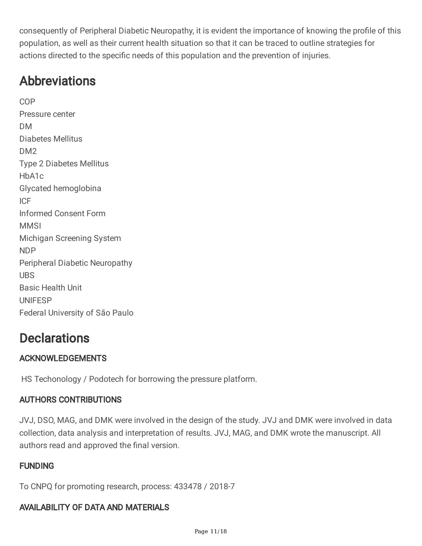consequently of Peripheral Diabetic Neuropathy, it is evident the importance of knowing the profile of this population, as well as their current health situation so that it can be traced to outline strategies for actions directed to the specific needs of this population and the prevention of injuries.

## Abbreviations

COP Pressure center DM Diabetes Mellitus DM<sub>2</sub> Type 2 Diabetes Mellitus HbA1c Glycated hemoglobina ICF Informed Consent Form MMSI Michigan Screening System NDP Peripheral Diabetic Neuropathy UBS Basic Health Unit UNIFESP Federal University of São Paulo

## **Declarations**

### ACKNOWLEDGEMENTS

HS Techonology / Podotech for borrowing the pressure platform.

### AUTHORS CONTRIBUTIONS

JVJ, DSO, MAG, and DMK were involved in the design of the study. JVJ and DMK were involved in data collection, data analysis and interpretation of results. JVJ, MAG, and DMK wrote the manuscript. All authors read and approved the final version.

### FUNDING

To CNPQ for promoting research, process: 433478 / 2018-7

### AVAILABILITY OF DATA AND MATERIALS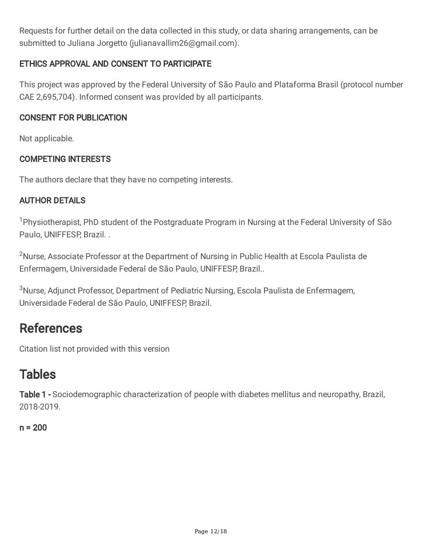Requests for further detail on the data collected in this study, or data sharing arrangements, can be submitted to Juliana Jorgetto (julianavallim26@gmail.com).

### ETHICS APPROVAL AND CONSENT TO PARTICIPATE

This project was approved by the Federal University of São Paulo and Plataforma Brasil (protocol number CAE 2,695,704). Informed consent was provided by all participants.

#### CONSENT FOR PUBLICATION

Not applicable.

### COMPETING INTERESTS

The authors declare that they have no competing interests.

### AUTHOR DETAILS

<sup>1</sup>Physiotherapist, PhD student of the Postgraduate Program in Nursing at the Federal University of São Paulo, UNIFFESP, Brazil. .

<sup>2</sup>Nurse, Associate Professor at the Department of Nursing in Public Health at Escola Paulista de Enfermagem, Universidade Federal de São Paulo, UNIFFESP, Brazil..

<sup>3</sup>Nurse, Adjunct Professor, Department of Pediatric Nursing, Escola Paulista de Enfermagem, Universidade Federal de São Paulo, UNIFFESP, Brazil.

### **References**

Citation list not provided with this version

### Tables

Table 1 - Sociodemographic characterization of people with diabetes mellitus and neuropathy, Brazil, 2018-2019.

### $n = 200$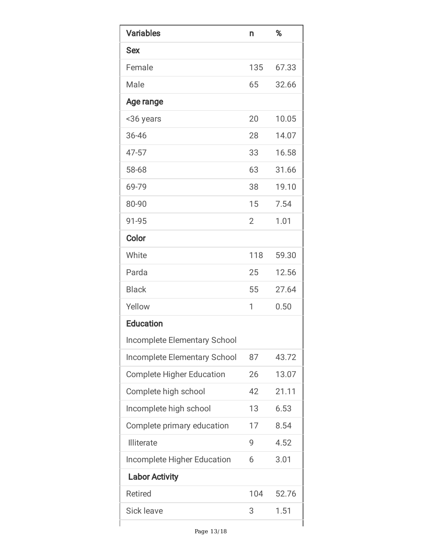| <b>Variables</b>                    | n              | %     |
|-------------------------------------|----------------|-------|
| <b>Sex</b>                          |                |       |
| Female                              | 135            | 67.33 |
| Male                                | 65             | 32.66 |
| Age range                           |                |       |
| <36 years                           | 20             | 10.05 |
| 36-46                               | 28             | 14.07 |
| 47-57                               | 33             | 16.58 |
| 58-68                               | 63             | 31.66 |
| 69-79                               | 38             | 19.10 |
| 80-90                               | 15             | 7.54  |
| 91-95                               | $\overline{2}$ | 1.01  |
| Color                               |                |       |
| White                               | 118            | 59.30 |
| Parda                               | 25             | 12.56 |
| <b>Black</b>                        | 55             | 27.64 |
| Yellow                              | 1              | 0.50  |
| <b>Education</b>                    |                |       |
| <b>Incomplete Elementary School</b> |                |       |
| Incomplete Elementary School        | 87             | 43.72 |
| <b>Complete Higher Education</b>    | 26             | 13.07 |
| Complete high school                | 42             | 21.11 |
| Incomplete high school              | 13             | 6.53  |
| Complete primary education          | 17             | 8.54  |
| <b>Illiterate</b>                   | 9              | 4.52  |
| <b>Incomplete Higher Education</b>  | 6              | 3.01  |
| <b>Labor Activity</b>               |                |       |
| <b>Retired</b>                      | 104            | 52.76 |
| <b>Sick leave</b>                   | 3              | 1.51  |
|                                     |                |       |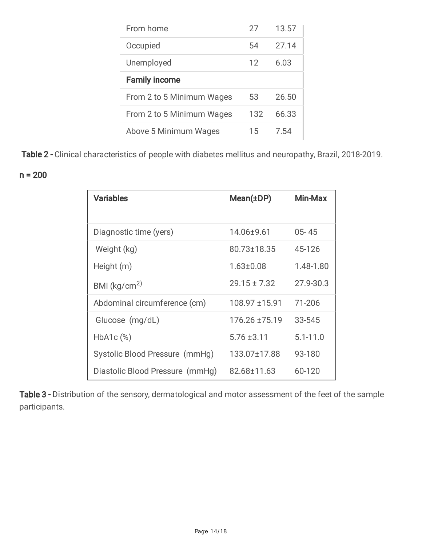| From home                 | 27  | 13.57 |
|---------------------------|-----|-------|
| Occupied                  | 54  | 27.14 |
| Unemployed                | 12  | 6.03  |
| <b>Family income</b>      |     |       |
| From 2 to 5 Minimum Wages | 53  | 26.50 |
| From 2 to 5 Minimum Wages | 132 | 66.33 |
| Above 5 Minimum Wages     | 15  | 7.54  |

Table 2 - Clinical characteristics of people with diabetes mellitus and neuropathy, Brazil, 2018-2019.

 $n = 200$ 

| <b>Variables</b>                | Mean(±DP)        | Min-Max      |
|---------------------------------|------------------|--------------|
| Diagnostic time (yers)          | 14.06±9.61       | $05 - 45$    |
| Weight (kg)                     | 80.73±18.35      | 45-126       |
| Height (m)                      | $1.63 \pm 0.08$  | 1.48-1.80    |
| BMI ( $\text{kg/cm}^2$ )        | $29.15 \pm 7.32$ | 27.9-30.3    |
| Abdominal circumference (cm)    | 108.97 ±15.91    | 71-206       |
| Glucose (mg/dL)                 | 176.26 ±75.19    | 33-545       |
| $HbA1c$ $%$                     | $5.76 \pm 3.11$  | $5.1 - 11.0$ |
| Systolic Blood Pressure (mmHg)  | 133.07±17.88     | 93-180       |
| Diastolic Blood Pressure (mmHg) | 82.68±11.63      | 60-120       |

Table 3 - Distribution of the sensory, dermatological and motor assessment of the feet of the sample participants.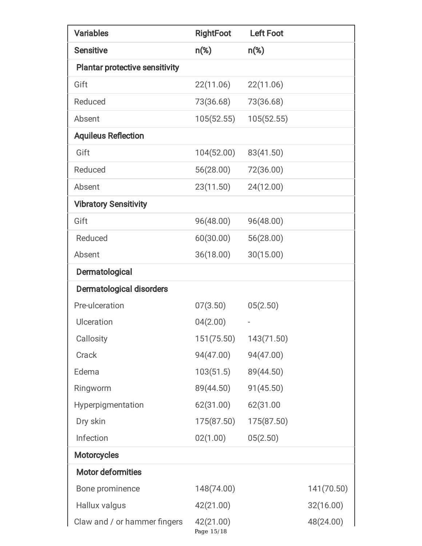| <b>Variables</b>                      | <b>RightFoot</b>        | <b>Left Foot</b> |            |
|---------------------------------------|-------------------------|------------------|------------|
| <b>Sensitive</b>                      | $n\$ )                  | $n$ (%)          |            |
| <b>Plantar protective sensitivity</b> |                         |                  |            |
| Gift                                  | 22(11.06)               | 22(11.06)        |            |
| Reduced                               | 73(36.68)               | 73(36.68)        |            |
| Absent                                | 105(52.55)              | 105(52.55)       |            |
| <b>Aquileus Reflection</b>            |                         |                  |            |
| Gift                                  | 104(52.00)              | 83(41.50)        |            |
| Reduced                               | 56(28.00)               | 72(36.00)        |            |
| Absent                                | 23(11.50)               | 24(12.00)        |            |
| <b>Vibratory Sensitivity</b>          |                         |                  |            |
| Gift                                  | 96(48.00)               | 96(48.00)        |            |
| Reduced                               | 60(30.00)               | 56(28.00)        |            |
| Absent                                | 36(18.00)               | 30(15.00)        |            |
| Dermatological                        |                         |                  |            |
| <b>Dermatological disorders</b>       |                         |                  |            |
| Pre-ulceration                        | 07(3.50)                | 05(2.50)         |            |
| Ulceration                            | 04(2.00)                |                  |            |
| Callosity                             | 151(75.50)              | 143(71.50)       |            |
| Crack                                 | 94(47.00)               | 94(47.00)        |            |
| Edema                                 | 103(51.5)               | 89(44.50)        |            |
| Ringworm                              | 89(44.50)               | 91(45.50)        |            |
| Hyperpigmentation                     | 62(31.00)               | 62(31.00         |            |
| Dry skin                              | 175(87.50)              | 175(87.50)       |            |
| Infection                             | 02(1.00)                | 05(2.50)         |            |
| <b>Motorcycles</b>                    |                         |                  |            |
| <b>Motor deformities</b>              |                         |                  |            |
| Bone prominence                       | 148(74.00)              |                  | 141(70.50) |
| Hallux valgus                         | 42(21.00)               |                  | 32(16.00)  |
| Claw and / or hammer fingers          | 42(21.00)<br>Page 15/18 |                  | 48(24.00)  |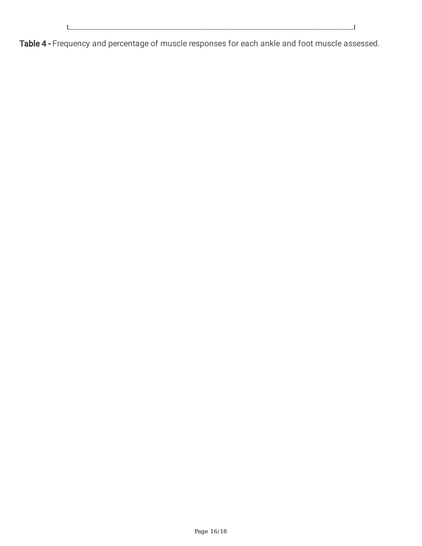$\perp$ Ī

Table 4 - Frequency and percentage of muscle responses for each ankle and foot muscle assessed.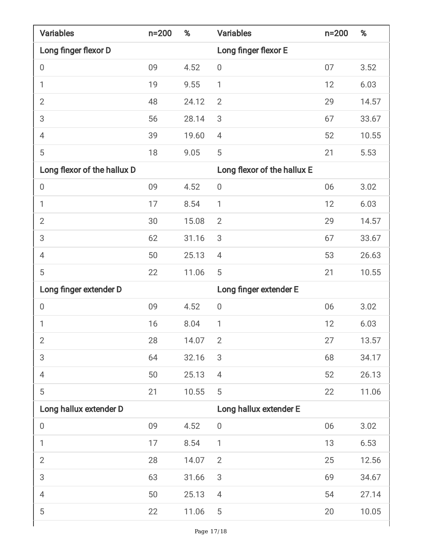| <b>Variables</b>            | $n = 200$ | %     | <b>Variables</b>            | $n = 200$ | %     |
|-----------------------------|-----------|-------|-----------------------------|-----------|-------|
| Long finger flexor D        |           |       | Long finger flexor E        |           |       |
| $\boldsymbol{0}$            | 09        | 4.52  | $\boldsymbol{0}$            | 07        | 3.52  |
| 1                           | 19        | 9.55  | $\mathbf{1}$                | 12        | 6.03  |
| $\overline{2}$              | 48        | 24.12 | $\overline{2}$              | 29        | 14.57 |
| 3                           | 56        | 28.14 | 3                           | 67        | 33.67 |
| 4                           | 39        | 19.60 | $\overline{4}$              | 52        | 10.55 |
| 5                           | 18        | 9.05  | 5                           | 21        | 5.53  |
| Long flexor of the hallux D |           |       | Long flexor of the hallux E |           |       |
| $\boldsymbol{0}$            | 09        | 4.52  | $\boldsymbol{0}$            | 06        | 3.02  |
| $\mathbf{1}$                | 17        | 8.54  | $\mathbf{1}$                | 12        | 6.03  |
| $\overline{2}$              | 30        | 15.08 | $\overline{2}$              | 29        | 14.57 |
| 3                           | 62        | 31.16 | 3                           | 67        | 33.67 |
| 4                           | 50        | 25.13 | $\overline{4}$              | 53        | 26.63 |
| 5                           | 22        | 11.06 | 5                           | 21        | 10.55 |
| Long finger extender D      |           |       | Long finger extender E      |           |       |
| 0                           | 09        | 4.52  | $\boldsymbol{0}$            | 06        | 3.02  |
| 1                           | 16        | 8.04  | $\mathbf{1}$                | 12        | 6.03  |
| $\overline{2}$              | 28        | 14.07 | $\overline{2}$              | 27        | 13.57 |
| 3                           | 64        | 32.16 | 3                           | 68        | 34.17 |
| $\overline{4}$              | 50        | 25.13 | $\overline{4}$              | 52        | 26.13 |
| 5                           | 21        | 10.55 | 5                           | 22        | 11.06 |
| Long hallux extender D      |           |       | Long hallux extender E      |           |       |
| $\boldsymbol{0}$            | 09        | 4.52  | $\boldsymbol{0}$            | 06        | 3.02  |
| 1                           | 17        | 8.54  | $\mathbf{1}$                | 13        | 6.53  |
| $\overline{2}$              | 28        | 14.07 | $\overline{2}$              | 25        | 12.56 |
| 3                           | 63        | 31.66 | 3                           | 69        | 34.67 |
| $\overline{4}$              | 50        | 25.13 | 4                           | 54        | 27.14 |
| 5                           | 22        | 11.06 | 5                           | 20        | 10.05 |
|                             |           |       |                             |           |       |